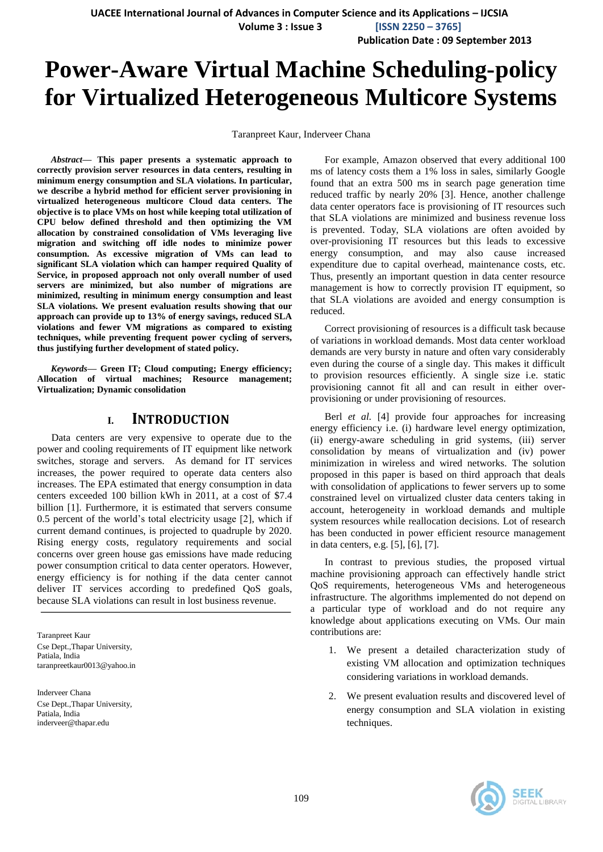**Volume 3 : Issue 3 [ISSN 2250 – 3765]**

**Publication Date : 09 September 2013**

# **Power-Aware Virtual Machine Scheduling-policy for Virtualized Heterogeneous Multicore Systems**

Taranpreet Kaur, Inderveer Chana

*Abstract***— This paper presents a systematic approach to correctly provision server resources in data centers, resulting in minimum energy consumption and SLA violations. In particular, we describe a hybrid method for efficient server provisioning in virtualized heterogeneous multicore Cloud data centers. The objective is to place VMs on host while keeping total utilization of CPU below defined threshold and then optimizing the VM allocation by constrained consolidation of VMs leveraging live migration and switching off idle nodes to minimize power consumption. As excessive migration of VMs can lead to significant SLA violation which can hamper required Quality of Service, in proposed approach not only overall number of used servers are minimized, but also number of migrations are minimized, resulting in minimum energy consumption and least SLA violations. We present evaluation results showing that our approach can provide up to 13% of energy savings, reduced SLA violations and fewer VM migrations as compared to existing techniques, while preventing frequent power cycling of servers, thus justifying further development of stated policy.**

*Keywords—* **Green IT; Cloud computing; Energy efficiency; Allocation of virtual machines; Resource management; Virtualization; Dynamic consolidation**

### **I. INTRODUCTION**

Data centers are very expensive to operate due to the power and cooling requirements of IT equipment like network switches, storage and servers. As demand for IT services increases, the power required to operate data centers also increases. The EPA estimated that energy consumption in data centers exceeded 100 billion kWh in 2011, at a cost of \$7.4 billion [1]. Furthermore, it is estimated that servers consume 0.5 percent of the world's total electricity usage [2], which if current demand continues, is projected to quadruple by 2020. Rising energy costs, regulatory requirements and social concerns over green house gas emissions have made reducing power consumption critical to data center operators. However, energy efficiency is for nothing if the data center cannot deliver IT services according to predefined QoS goals, because SLA violations can result in lost business revenue.

Taranpreet Kaur Cse Dept.,Thapar University, Patiala, India taranpreetkaur0013@yahoo.in

Inderveer Chana Cse Dept.,Thapar University, Patiala, India inderveer@thapar.edu

For example, Amazon observed that every additional 100 ms of latency costs them a 1% loss in sales, similarly Google found that an extra 500 ms in search page generation time reduced traffic by nearly 20% [3]. Hence, another challenge data center operators face is provisioning of IT resources such that SLA violations are minimized and business revenue loss is prevented. Today, SLA violations are often avoided by over-provisioning IT resources but this leads to excessive energy consumption, and may also cause increased expenditure due to capital overhead, maintenance costs, etc. Thus, presently an important question in data center resource management is how to correctly provision IT equipment, so that SLA violations are avoided and energy consumption is reduced.

Correct provisioning of resources is a difficult task because of variations in workload demands. Most data center workload demands are very bursty in nature and often vary considerably even during the course of a single day. This makes it difficult to provision resources efficiently. A single size i.e. static provisioning cannot fit all and can result in either overprovisioning or under provisioning of resources.

Berl *et al.* [4] provide four approaches for increasing energy efficiency i.e. (i) hardware level energy optimization, (ii) energy-aware scheduling in grid systems, (iii) server consolidation by means of virtualization and (iv) power minimization in wireless and wired networks. The solution proposed in this paper is based on third approach that deals with consolidation of applications to fewer servers up to some constrained level on virtualized cluster data centers taking in account, heterogeneity in workload demands and multiple system resources while reallocation decisions. Lot of research has been conducted in power efficient resource management in data centers, e.g. [5], [6], [7].

In contrast to previous studies, the proposed virtual machine provisioning approach can effectively handle strict QoS requirements, heterogeneous VMs and heterogeneous infrastructure. The algorithms implemented do not depend on a particular type of workload and do not require any knowledge about applications executing on VMs. Our main contributions are:

- 1. We present a detailed characterization study of existing VM allocation and optimization techniques considering variations in workload demands.
- 2. We present evaluation results and discovered level of energy consumption and SLA violation in existing techniques.

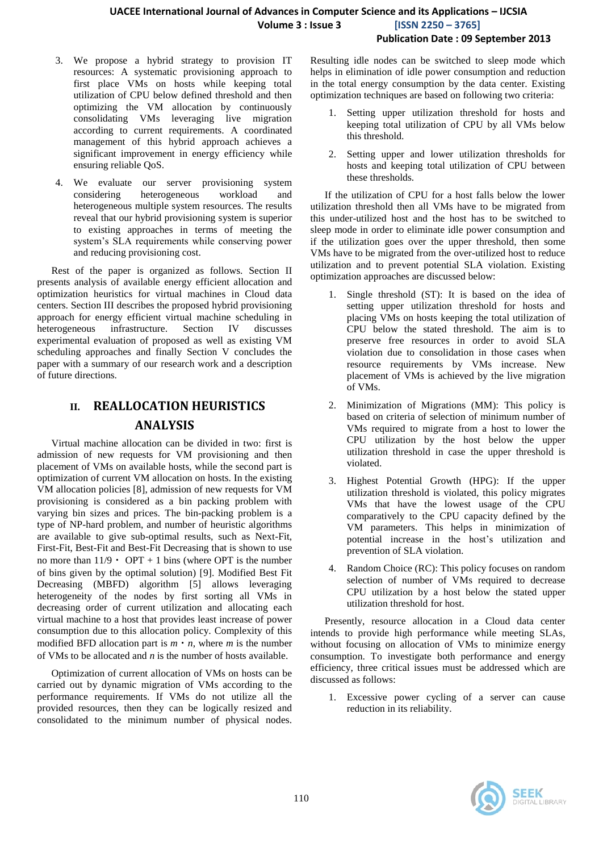#### **UACEE International Journal of Advances in Computer Science and its Applications – IJCSIA Volume 3 : Issue 3 [ISSN 2250 – 3765] Publication Date : 09 September 2013**

- 3. We propose a hybrid strategy to provision IT resources: A systematic provisioning approach to first place VMs on hosts while keeping total utilization of CPU below defined threshold and then optimizing the VM allocation by continuously consolidating VMs leveraging live migration according to current requirements. A coordinated management of this hybrid approach achieves a significant improvement in energy efficiency while ensuring reliable QoS.
- 4. We evaluate our server provisioning system considering heterogeneous workload and heterogeneous multiple system resources. The results reveal that our hybrid provisioning system is superior to existing approaches in terms of meeting the system's SLA requirements while conserving power and reducing provisioning cost.

Rest of the paper is organized as follows. Section II presents analysis of available energy efficient allocation and optimization heuristics for virtual machines in Cloud data centers. Section III describes the proposed hybrid provisioning approach for energy efficient virtual machine scheduling in heterogeneous infrastructure. Section IV discusses experimental evaluation of proposed as well as existing VM scheduling approaches and finally Section V concludes the paper with a summary of our research work and a description of future directions.

## **II. REALLOCATION HEURISTICS ANALYSIS**

Virtual machine allocation can be divided in two: first is admission of new requests for VM provisioning and then placement of VMs on available hosts, while the second part is optimization of current VM allocation on hosts. In the existing VM allocation policies [8], admission of new requests for VM provisioning is considered as a bin packing problem with varying bin sizes and prices. The bin-packing problem is a type of NP-hard problem, and number of heuristic algorithms are available to give sub-optimal results, such as Next-Fit, First-Fit, Best-Fit and Best-Fit Decreasing that is shown to use no more than  $11/9 \cdot OPT + 1$  bins (where OPT is the number of bins given by the optimal solution) [9]. Modified Best Fit Decreasing (MBFD) algorithm [5] allows leveraging heterogeneity of the nodes by first sorting all VMs in decreasing order of current utilization and allocating each virtual machine to a host that provides least increase of power consumption due to this allocation policy. Complexity of this modified BFD allocation part is  $m \cdot n$ , where *m* is the number of VMs to be allocated and *n* is the number of hosts available.

Optimization of current allocation of VMs on hosts can be carried out by dynamic migration of VMs according to the performance requirements. If VMs do not utilize all the provided resources, then they can be logically resized and consolidated to the minimum number of physical nodes. Resulting idle nodes can be switched to sleep mode which helps in elimination of idle power consumption and reduction in the total energy consumption by the data center. Existing optimization techniques are based on following two criteria:

- Setting upper utilization threshold for hosts and keeping total utilization of CPU by all VMs below this threshold.
- 2. Setting upper and lower utilization thresholds for hosts and keeping total utilization of CPU between these thresholds.

If the utilization of CPU for a host falls below the lower utilization threshold then all VMs have to be migrated from this under-utilized host and the host has to be switched to sleep mode in order to eliminate idle power consumption and if the utilization goes over the upper threshold, then some VMs have to be migrated from the over-utilized host to reduce utilization and to prevent potential SLA violation. Existing optimization approaches are discussed below:

- 1. Single threshold (ST): It is based on the idea of setting upper utilization threshold for hosts and placing VMs on hosts keeping the total utilization of CPU below the stated threshold. The aim is to preserve free resources in order to avoid SLA violation due to consolidation in those cases when resource requirements by VMs increase. New placement of VMs is achieved by the live migration of VMs.
- 2. Minimization of Migrations (MM): This policy is based on criteria of selection of minimum number of VMs required to migrate from a host to lower the CPU utilization by the host below the upper utilization threshold in case the upper threshold is violated.
- 3. Highest Potential Growth (HPG): If the upper utilization threshold is violated, this policy migrates VMs that have the lowest usage of the CPU comparatively to the CPU capacity defined by the VM parameters. This helps in minimization of potential increase in the host's utilization and prevention of SLA violation.
- 4. Random Choice (RC): This policy focuses on random selection of number of VMs required to decrease CPU utilization by a host below the stated upper utilization threshold for host.

Presently, resource allocation in a Cloud data center intends to provide high performance while meeting SLAs, without focusing on allocation of VMs to minimize energy consumption. To investigate both performance and energy efficiency, three critical issues must be addressed which are discussed as follows:

1. Excessive power cycling of a server can cause reduction in its reliability.

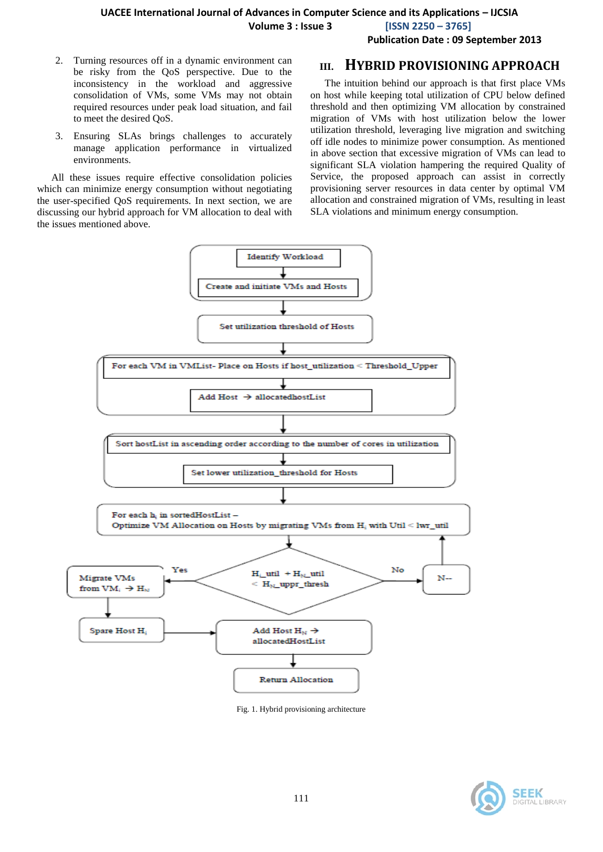**Volume 3 : Issue 3 [ISSN 2250 – 3765]**

**Publication Date : 09 September 2013**

- 2. Turning resources off in a dynamic environment can be risky from the QoS perspective. Due to the inconsistency in the workload and aggressive consolidation of VMs, some VMs may not obtain required resources under peak load situation, and fail to meet the desired QoS.
- 3. Ensuring SLAs brings challenges to accurately manage application performance in virtualized environments.

All these issues require effective consolidation policies which can minimize energy consumption without negotiating the user-specified QoS requirements. In next section, we are discussing our hybrid approach for VM allocation to deal with the issues mentioned above.

## **III. HYBRID PROVISIONING APPROACH**

The intuition behind our approach is that first place VMs on host while keeping total utilization of CPU below defined threshold and then optimizing VM allocation by constrained migration of VMs with host utilization below the lower utilization threshold, leveraging live migration and switching off idle nodes to minimize power consumption. As mentioned in above section that excessive migration of VMs can lead to significant SLA violation hampering the required Quality of Service, the proposed approach can assist in correctly provisioning server resources in data center by optimal VM allocation and constrained migration of VMs, resulting in least SLA violations and minimum energy consumption.



Fig. 1. Hybrid provisioning architecture

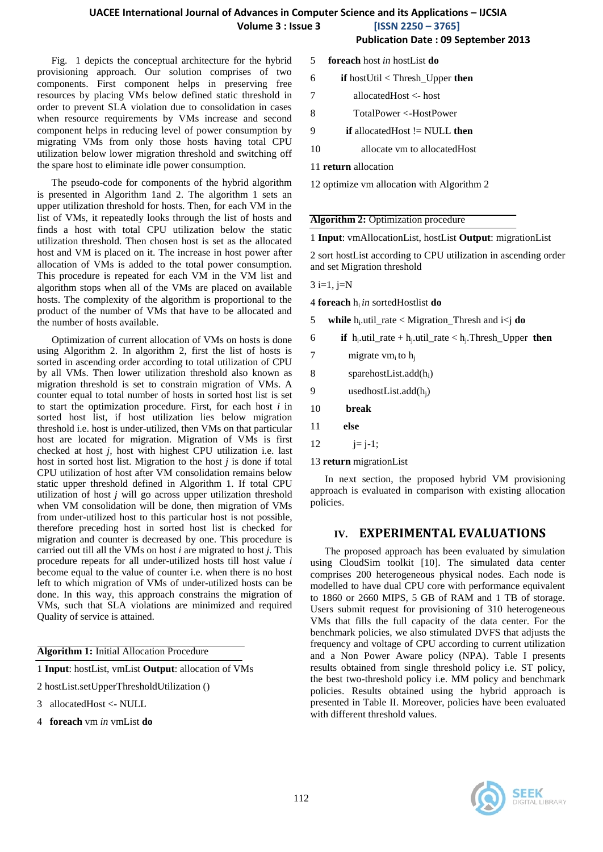**Publication Date : 09 September 2013**

Fig. 1 depicts the conceptual architecture for the hybrid provisioning approach. Our solution comprises of two components. First component helps in preserving free resources by placing VMs below defined static threshold in order to prevent SLA violation due to consolidation in cases when resource requirements by VMs increase and second component helps in reducing level of power consumption by migrating VMs from only those hosts having total CPU utilization below lower migration threshold and switching off the spare host to eliminate idle power consumption.

The pseudo-code for components of the hybrid algorithm is presented in Algorithm 1and 2. The algorithm 1 sets an upper utilization threshold for hosts. Then, for each VM in the list of VMs, it repeatedly looks through the list of hosts and finds a host with total CPU utilization below the static utilization threshold. Then chosen host is set as the allocated host and VM is placed on it. The increase in host power after allocation of VMs is added to the total power consumption. This procedure is repeated for each VM in the VM list and algorithm stops when all of the VMs are placed on available hosts. The complexity of the algorithm is proportional to the product of the number of VMs that have to be allocated and the number of hosts available.

Optimization of current allocation of VMs on hosts is done using Algorithm 2. In algorithm 2, first the list of hosts is sorted in ascending order according to total utilization of CPU by all VMs. Then lower utilization threshold also known as migration threshold is set to constrain migration of VMs. A counter equal to total number of hosts in sorted host list is set to start the optimization procedure. First, for each host *i* in sorted host list, if host utilization lies below migration threshold i.e. host is under-utilized, then VMs on that particular host are located for migration. Migration of VMs is first checked at host *j,* host with highest CPU utilization i.e. last host in sorted host list. Migration to the host *j* is done if total CPU utilization of host after VM consolidation remains below static upper threshold defined in Algorithm 1. If total CPU utilization of host *j* will go across upper utilization threshold when VM consolidation will be done, then migration of VMs from under-utilized host to this particular host is not possible, therefore preceding host in sorted host list is checked for migration and counter is decreased by one. This procedure is carried out till all the VMs on host *i* are migrated to host *j.* This procedure repeats for all under-utilized hosts till host value *i* become equal to the value of counter i.e. when there is no host left to which migration of VMs of under-utilized hosts can be done. In this way, this approach constrains the migration of VMs, such that SLA violations are minimized and required Quality of service is attained.

**Algorithm 1:** Initial Allocation Procedure

1 **Input**: hostList, vmList **Output**: allocation of VMs

- 2 hostList.setUpperThresholdUtilization ()
- 3 allocatedHost <- NULL
- 4 **foreach** vm *in* vmList **do**
- 5 **foreach** host *in* hostList **do**
- 6 **if** hostUtil < Thresh\_Upper **then**
- 7 allocatedHost <- host
- 8 TotalPower <-HostPower
- 9 **if** allocatedHost != NULL **then**
- 10 allocate vm to allocatedHost
- 11 **return** allocation
- 12 optimize vm allocation with Algorithm 2

#### **Algorithm 2:** Optimization procedure

1 **Input**: vmAllocationList, hostList **Output**: migrationList

2 sort hostList according to CPU utilization in ascending order and set Migration threshold

 $3 i=1, j=N$ 

4 **foreach** hi *in* sortedHostlist **do**

5 **while** h<sub>i</sub>.util\_rate < Migration\_Thresh and i<j **do** 

- 6 **if**  $h_i$  util\_rate +  $h_j$  util\_rate <  $h_j$ . Thresh\_Upper **then**
- 7 migrate vm<sub>i</sub> to  $h_i$
- 8 sparehostList.add $(h_i)$
- 9 usedhostList.add $(h_i)$
- 10 **break**
- 11 **else**
- 12  $j=j-1;$

13 **return** migrationList

In next section, the proposed hybrid VM provisioning approach is evaluated in comparison with existing allocation policies.

#### **IV. EXPERIMENTAL EVALUATIONS**

The proposed approach has been evaluated by simulation using CloudSim toolkit [10]. The simulated data center comprises 200 heterogeneous physical nodes. Each node is modelled to have dual CPU core with performance equivalent to 1860 or 2660 MIPS, 5 GB of RAM and 1 TB of storage. Users submit request for provisioning of 310 heterogeneous VMs that fills the full capacity of the data center. For the benchmark policies, we also stimulated DVFS that adjusts the frequency and voltage of CPU according to current utilization and a Non Power Aware policy (NPA). Table I presents results obtained from single threshold policy i.e. ST policy, the best two-threshold policy i.e. MM policy and benchmark policies. Results obtained using the hybrid approach is presented in Table II. Moreover, policies have been evaluated with different threshold values.

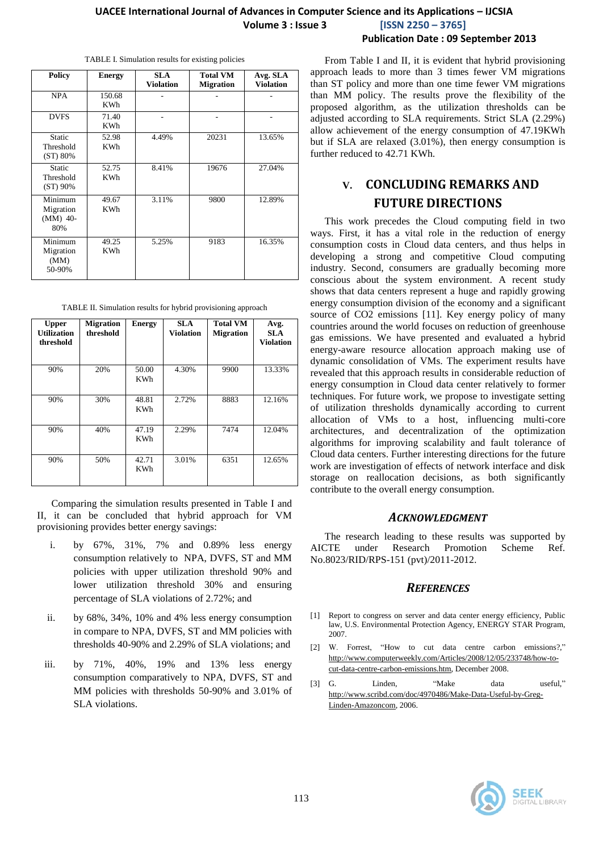#### **UACEE International Journal of Advances in Computer Science and its Applications – IJCSIA Volume 3 : Issue 3 [ISSN 2250 – 3765] Publication Date : 09 September 2013**

| <b>Policy</b>                           | <b>Energy</b>        | SLA.<br><b>Violation</b> | <b>Total VM</b><br><b>Migration</b> | Avg. SLA<br><b>Violation</b> |
|-----------------------------------------|----------------------|--------------------------|-------------------------------------|------------------------------|
| <b>NPA</b>                              | 150.68<br><b>KWh</b> |                          |                                     |                              |
| <b>DVFS</b>                             | 71.40<br><b>KWh</b>  |                          |                                     |                              |
| <b>Static</b><br>Threshold<br>(ST) 80%  | 52.98<br><b>KWh</b>  | 4.49%                    | 20231                               | 13.65%                       |
| <b>Static</b><br>Threshold<br>(ST) 90%  | 52.75<br><b>KWh</b>  | 8.41%                    | 19676                               | 27.04%                       |
| Minimum<br>Migration<br>(MM) 40-<br>80% | 49.67<br><b>KWh</b>  | 3.11%                    | 9800                                | 12.89%                       |
| Minimum<br>Migration<br>(MM)<br>50-90%  | 49.25<br><b>KWh</b>  | 5.25%                    | 9183                                | 16.35%                       |

TABLE I. Simulation results for existing policies

TABLE II. Simulation results for hybrid provisioning approach

| <b>Upper</b><br><b>Utilization</b><br>threshold | <b>Migration</b><br>threshold | <b>Energy</b>       | <b>SLA</b><br><b>Violation</b> | <b>Total VM</b><br><b>Migration</b> | Avg.<br><b>SLA</b><br><b>Violation</b> |
|-------------------------------------------------|-------------------------------|---------------------|--------------------------------|-------------------------------------|----------------------------------------|
| 90%                                             | 20%                           | 50.00<br><b>KWh</b> | 4.30%                          | 9900                                | 13.33%                                 |
| 90%                                             | 30%                           | 48.81<br><b>KWh</b> | 2.72%                          | 8883                                | 12.16%                                 |
| 90%                                             | 40%                           | 47.19<br>KWh        | 2.29%                          | 7474                                | 12.04%                                 |
| 90%                                             | 50%                           | 42.71<br>KWh        | 3.01%                          | 6351                                | 12.65%                                 |

Comparing the simulation results presented in Table I and II, it can be concluded that hybrid approach for VM provisioning provides better energy savings:

- i. by 67%, 31%, 7% and 0.89% less energy consumption relatively to NPA, DVFS, ST and MM policies with upper utilization threshold 90% and lower utilization threshold 30% and ensuring percentage of SLA violations of 2.72%; and
- ii. by 68%, 34%, 10% and 4% less energy consumption in compare to NPA, DVFS, ST and MM policies with thresholds 40-90% and 2.29% of SLA violations; and
- iii. by 71%, 40%, 19% and 13% less energy consumption comparatively to NPA, DVFS, ST and MM policies with thresholds 50-90% and 3.01% of SLA violations.

From Table I and II, it is evident that hybrid provisioning approach leads to more than 3 times fewer VM migrations than ST policy and more than one time fewer VM migrations than MM policy. The results prove the flexibility of the proposed algorithm, as the utilization thresholds can be adjusted according to SLA requirements. Strict SLA (2.29%) allow achievement of the energy consumption of 47.19KWh but if SLA are relaxed (3.01%), then energy consumption is further reduced to 42.71 KWh.

# **V. CONCLUDING REMARKS AND FUTURE DIRECTIONS**

This work precedes the Cloud computing field in two ways. First, it has a vital role in the reduction of energy consumption costs in Cloud data centers, and thus helps in developing a strong and competitive Cloud computing industry. Second, consumers are gradually becoming more conscious about the system environment. A recent study shows that data centers represent a huge and rapidly growing energy consumption division of the economy and a significant source of CO2 emissions [11]. Key energy policy of many countries around the world focuses on reduction of greenhouse gas emissions. We have presented and evaluated a hybrid energy-aware resource allocation approach making use of dynamic consolidation of VMs. The experiment results have revealed that this approach results in considerable reduction of energy consumption in Cloud data center relatively to former techniques. For future work, we propose to investigate setting of utilization thresholds dynamically according to current allocation of VMs to a host, influencing multi-core architectures, and decentralization of the optimization algorithms for improving scalability and fault tolerance of Cloud data centers. Further interesting directions for the future work are investigation of effects of network interface and disk storage on reallocation decisions, as both significantly contribute to the overall energy consumption.

#### *ACKNOWLEDGMENT*

The research leading to these results was supported by AICTE under Research Promotion Scheme Ref. No.8023/RID/RPS-151 (pvt)/2011-2012.

#### *REFERENCES*

- Report to congress on server and data center energy efficiency, Public law, U.S. Environmental Protection Agency, ENERGY STAR Program, 2007.
- [2] W. Forrest, "How to cut data centre carbon emissions?," [http://www.computerweekly.com/Articles/2008/12/05/233748/how-to](http://www.computerweekly.com/Articles/2008/12/05/233748/how-to-cut-data-centre-carbon-emissions.htm)[cut-data-centre-carbon-emissions.htm,](http://www.computerweekly.com/Articles/2008/12/05/233748/how-to-cut-data-centre-carbon-emissions.htm) December 2008.
- [3] G. Linden, "Make data useful," [http://www.scribd.com/doc/4970486/Make-Data-Useful-by-Greg-](http://www.scribd.com/doc/4970486/Make-Data-Useful-by-Greg-Linden-Amazoncom)[Linden-Amazoncom,](http://www.scribd.com/doc/4970486/Make-Data-Useful-by-Greg-Linden-Amazoncom) 2006.